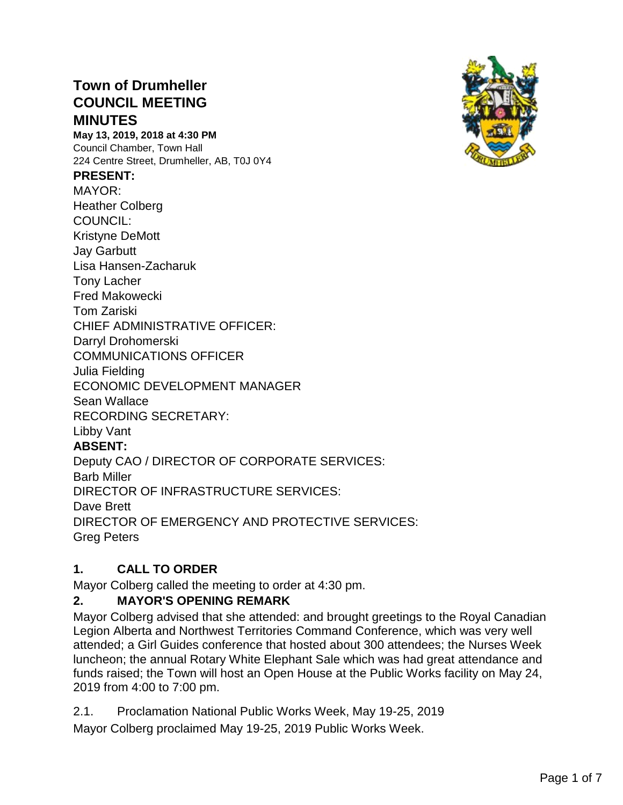# **Town of Drumheller COUNCIL MEETING MINUTES**

**May 13, 2019, 2018 at 4:30 PM** Council Chamber, Town Hall 224 Centre Street, Drumheller, AB, T0J 0Y4

#### **PRESENT:**

MAYOR: Heather Colberg COUNCIL: Kristyne DeMott Jay Garbutt Lisa Hansen-Zacharuk Tony Lacher Fred Makowecki Tom Zariski CHIEF ADMINISTRATIVE OFFICER: Darryl Drohomerski COMMUNICATIONS OFFICER Julia Fielding ECONOMIC DEVELOPMENT MANAGER Sean Wallace RECORDING SECRETARY: Libby Vant **ABSENT:** Deputy CAO / DIRECTOR OF CORPORATE SERVICES: Barb Miller DIRECTOR OF INFRASTRUCTURE SERVICES: Dave Brett DIRECTOR OF EMERGENCY AND PROTECTIVE SERVICES: Greg Peters



# **1. CALL TO ORDER**

Mayor Colberg called the meeting to order at 4:30 pm.

## **2. MAYOR'S OPENING REMARK**

Mayor Colberg advised that she attended: and brought greetings to the Royal Canadian Legion Alberta and Northwest Territories Command Conference, which was very well attended; a Girl Guides conference that hosted about 300 attendees; the Nurses Week luncheon; the annual Rotary White Elephant Sale which was had great attendance and funds raised; the Town will host an Open House at the Public Works facility on May 24, 2019 from 4:00 to 7:00 pm.

2.1. Proclamation National Public Works Week, May 19-25, 2019

Mayor Colberg proclaimed May 19-25, 2019 Public Works Week.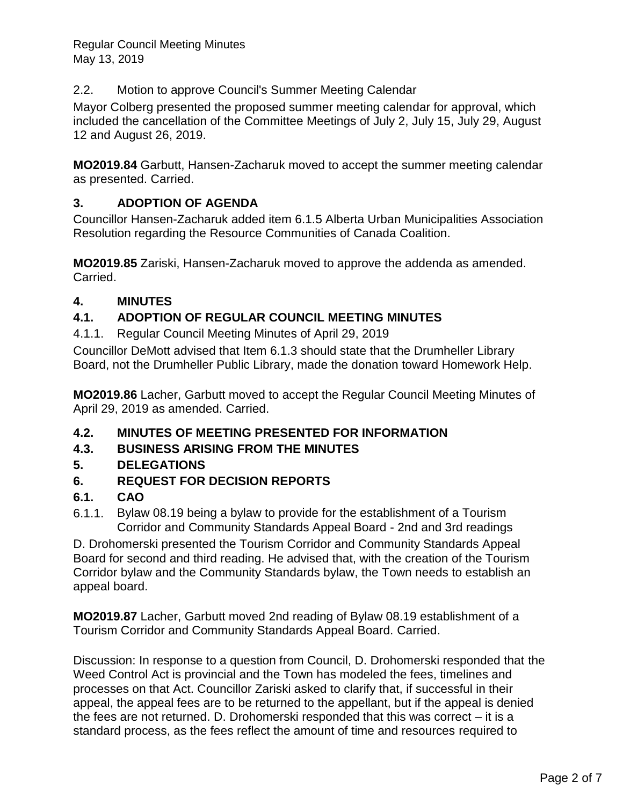Regular Council Meeting Minutes May 13, 2019

2.2. Motion to approve Council's Summer Meeting Calendar

Mayor Colberg presented the proposed summer meeting calendar for approval, which included the cancellation of the Committee Meetings of July 2, July 15, July 29, August 12 and August 26, 2019.

**MO2019.84** Garbutt, Hansen-Zacharuk moved to accept the summer meeting calendar as presented. Carried.

### **3. ADOPTION OF AGENDA**

Councillor Hansen-Zacharuk added item 6.1.5 Alberta Urban Municipalities Association Resolution regarding the Resource Communities of Canada Coalition.

**MO2019.85** Zariski, Hansen-Zacharuk moved to approve the addenda as amended. Carried.

### **4. MINUTES**

#### **4.1. ADOPTION OF REGULAR COUNCIL MEETING MINUTES**

4.1.1. Regular Council Meeting Minutes of April 29, 2019

Councillor DeMott advised that Item 6.1.3 should state that the Drumheller Library Board, not the Drumheller Public Library, made the donation toward Homework Help.

**MO2019.86** Lacher, Garbutt moved to accept the Regular Council Meeting Minutes of April 29, 2019 as amended. Carried.

#### **4.2. MINUTES OF MEETING PRESENTED FOR INFORMATION**

**4.3. BUSINESS ARISING FROM THE MINUTES**

#### **5. DELEGATIONS**

**6. REQUEST FOR DECISION REPORTS**

#### **6.1. CAO**

6.1.1. Bylaw 08.19 being a bylaw to provide for the establishment of a Tourism Corridor and Community Standards Appeal Board - 2nd and 3rd readings

D. Drohomerski presented the Tourism Corridor and Community Standards Appeal Board for second and third reading. He advised that, with the creation of the Tourism Corridor bylaw and the Community Standards bylaw, the Town needs to establish an appeal board.

**MO2019.87** Lacher, Garbutt moved 2nd reading of Bylaw 08.19 establishment of a Tourism Corridor and Community Standards Appeal Board. Carried.

Discussion: In response to a question from Council, D. Drohomerski responded that the Weed Control Act is provincial and the Town has modeled the fees, timelines and processes on that Act. Councillor Zariski asked to clarify that, if successful in their appeal, the appeal fees are to be returned to the appellant, but if the appeal is denied the fees are not returned. D. Drohomerski responded that this was correct – it is a standard process, as the fees reflect the amount of time and resources required to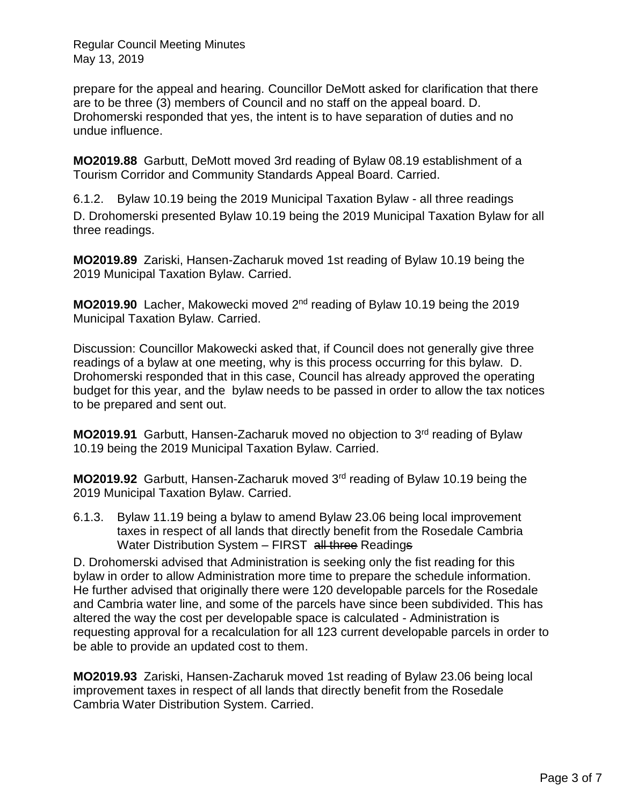Regular Council Meeting Minutes May 13, 2019

prepare for the appeal and hearing. Councillor DeMott asked for clarification that there are to be three (3) members of Council and no staff on the appeal board. D. Drohomerski responded that yes, the intent is to have separation of duties and no undue influence.

**MO2019.88** Garbutt, DeMott moved 3rd reading of Bylaw 08.19 establishment of a Tourism Corridor and Community Standards Appeal Board. Carried.

6.1.2. Bylaw 10.19 being the 2019 Municipal Taxation Bylaw - all three readings D. Drohomerski presented Bylaw 10.19 being the 2019 Municipal Taxation Bylaw for all three readings.

**MO2019.89** Zariski, Hansen-Zacharuk moved 1st reading of Bylaw 10.19 being the 2019 Municipal Taxation Bylaw. Carried.

**MO2019.90** Lacher, Makowecki moved 2<sup>nd</sup> reading of Bylaw 10.19 being the 2019 Municipal Taxation Bylaw. Carried.

Discussion: Councillor Makowecki asked that, if Council does not generally give three readings of a bylaw at one meeting, why is this process occurring for this bylaw. D. Drohomerski responded that in this case, Council has already approved the operating budget for this year, and the bylaw needs to be passed in order to allow the tax notices to be prepared and sent out.

MO2019.91 Garbutt, Hansen-Zacharuk moved no objection to 3<sup>rd</sup> reading of Bylaw 10.19 being the 2019 Municipal Taxation Bylaw. Carried.

**MO2019.92** Garbutt, Hansen-Zacharuk moved 3rd reading of Bylaw 10.19 being the 2019 Municipal Taxation Bylaw. Carried.

6.1.3. Bylaw 11.19 being a bylaw to amend Bylaw 23.06 being local improvement taxes in respect of all lands that directly benefit from the Rosedale Cambria Water Distribution System – FIRST all three Readings

D. Drohomerski advised that Administration is seeking only the fist reading for this bylaw in order to allow Administration more time to prepare the schedule information. He further advised that originally there were 120 developable parcels for the Rosedale and Cambria water line, and some of the parcels have since been subdivided. This has altered the way the cost per developable space is calculated - Administration is requesting approval for a recalculation for all 123 current developable parcels in order to be able to provide an updated cost to them.

**MO2019.93** Zariski, Hansen-Zacharuk moved 1st reading of Bylaw 23.06 being local improvement taxes in respect of all lands that directly benefit from the Rosedale Cambria Water Distribution System. Carried.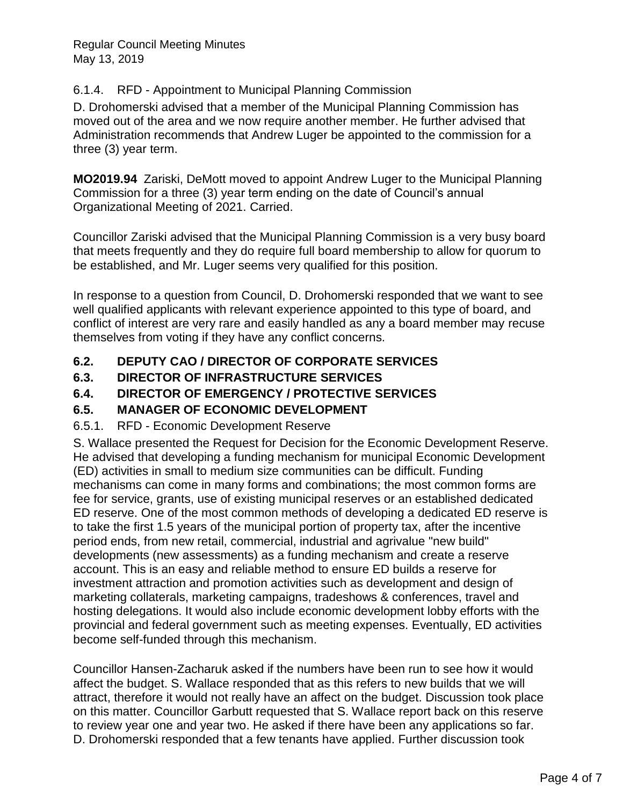#### 6.1.4. RFD - Appointment to Municipal Planning Commission

D. Drohomerski advised that a member of the Municipal Planning Commission has moved out of the area and we now require another member. He further advised that Administration recommends that Andrew Luger be appointed to the commission for a three (3) year term.

**MO2019.94** Zariski, DeMott moved to appoint Andrew Luger to the Municipal Planning Commission for a three (3) year term ending on the date of Council's annual Organizational Meeting of 2021. Carried.

Councillor Zariski advised that the Municipal Planning Commission is a very busy board that meets frequently and they do require full board membership to allow for quorum to be established, and Mr. Luger seems very qualified for this position.

In response to a question from Council, D. Drohomerski responded that we want to see well qualified applicants with relevant experience appointed to this type of board, and conflict of interest are very rare and easily handled as any a board member may recuse themselves from voting if they have any conflict concerns.

### **6.2. DEPUTY CAO / DIRECTOR OF CORPORATE SERVICES**

### **6.3. DIRECTOR OF INFRASTRUCTURE SERVICES**

### **6.4. DIRECTOR OF EMERGENCY / PROTECTIVE SERVICES**

#### **6.5. MANAGER OF ECONOMIC DEVELOPMENT**

#### 6.5.1. RFD - Economic Development Reserve

S. Wallace presented the Request for Decision for the Economic Development Reserve. He advised that developing a funding mechanism for municipal Economic Development (ED) activities in small to medium size communities can be difficult. Funding mechanisms can come in many forms and combinations; the most common forms are fee for service, grants, use of existing municipal reserves or an established dedicated ED reserve. One of the most common methods of developing a dedicated ED reserve is to take the first 1.5 years of the municipal portion of property tax, after the incentive period ends, from new retail, commercial, industrial and agrivalue "new build" developments (new assessments) as a funding mechanism and create a reserve account. This is an easy and reliable method to ensure ED builds a reserve for investment attraction and promotion activities such as development and design of marketing collaterals, marketing campaigns, tradeshows & conferences, travel and hosting delegations. It would also include economic development lobby efforts with the provincial and federal government such as meeting expenses. Eventually, ED activities become self-funded through this mechanism.

Councillor Hansen-Zacharuk asked if the numbers have been run to see how it would affect the budget. S. Wallace responded that as this refers to new builds that we will attract, therefore it would not really have an affect on the budget. Discussion took place on this matter. Councillor Garbutt requested that S. Wallace report back on this reserve to review year one and year two. He asked if there have been any applications so far. D. Drohomerski responded that a few tenants have applied. Further discussion took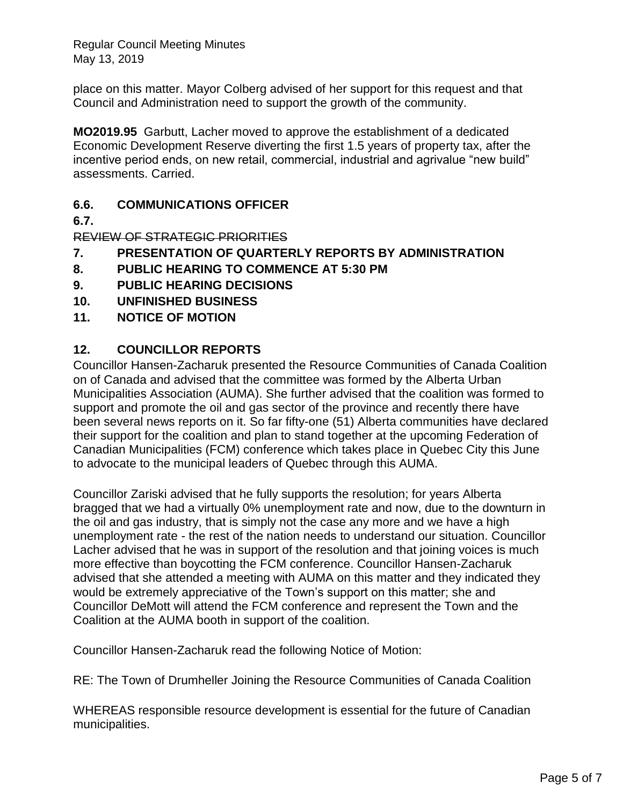Regular Council Meeting Minutes May 13, 2019

place on this matter. Mayor Colberg advised of her support for this request and that Council and Administration need to support the growth of the community.

**MO2019.95** Garbutt, Lacher moved to approve the establishment of a dedicated Economic Development Reserve diverting the first 1.5 years of property tax, after the incentive period ends, on new retail, commercial, industrial and agrivalue "new build" assessments. Carried.

#### **6.6. COMMUNICATIONS OFFICER**

**6.7.**

REVIEW OF STRATEGIC PRIORITIES

- **7. PRESENTATION OF QUARTERLY REPORTS BY ADMINISTRATION**
- **8. PUBLIC HEARING TO COMMENCE AT 5:30 PM**
- **9. PUBLIC HEARING DECISIONS**
- **10. UNFINISHED BUSINESS**
- **11. NOTICE OF MOTION**

#### **12. COUNCILLOR REPORTS**

Councillor Hansen-Zacharuk presented the Resource Communities of Canada Coalition on of Canada and advised that the committee was formed by the Alberta Urban Municipalities Association (AUMA). She further advised that the coalition was formed to support and promote the oil and gas sector of the province and recently there have been several news reports on it. So far fifty-one (51) Alberta communities have declared their support for the coalition and plan to stand together at the upcoming Federation of Canadian Municipalities (FCM) conference which takes place in Quebec City this June to advocate to the municipal leaders of Quebec through this AUMA.

Councillor Zariski advised that he fully supports the resolution; for years Alberta bragged that we had a virtually 0% unemployment rate and now, due to the downturn in the oil and gas industry, that is simply not the case any more and we have a high unemployment rate - the rest of the nation needs to understand our situation. Councillor Lacher advised that he was in support of the resolution and that joining voices is much more effective than boycotting the FCM conference. Councillor Hansen-Zacharuk advised that she attended a meeting with AUMA on this matter and they indicated they would be extremely appreciative of the Town's support on this matter; she and Councillor DeMott will attend the FCM conference and represent the Town and the Coalition at the AUMA booth in support of the coalition.

Councillor Hansen-Zacharuk read the following Notice of Motion:

RE: The Town of Drumheller Joining the Resource Communities of Canada Coalition

WHEREAS responsible resource development is essential for the future of Canadian municipalities.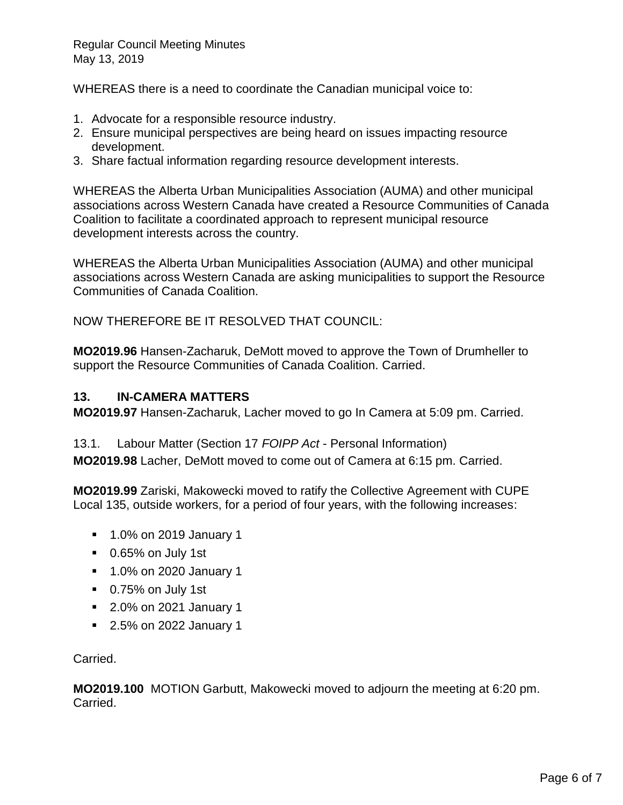WHEREAS there is a need to coordinate the Canadian municipal voice to:

- 1. Advocate for a responsible resource industry.
- 2. Ensure municipal perspectives are being heard on issues impacting resource development.
- 3. Share factual information regarding resource development interests.

WHEREAS the Alberta Urban Municipalities Association (AUMA) and other municipal associations across Western Canada have created a Resource Communities of Canada Coalition to facilitate a coordinated approach to represent municipal resource development interests across the country.

WHEREAS the Alberta Urban Municipalities Association (AUMA) and other municipal associations across Western Canada are asking municipalities to support the Resource Communities of Canada Coalition.

NOW THEREFORE BE IT RESOLVED THAT COUNCIL:

**MO2019.96** Hansen-Zacharuk, DeMott moved to approve the Town of Drumheller to support the Resource Communities of Canada Coalition. Carried.

#### **13. IN-CAMERA MATTERS**

**MO2019.97** Hansen-Zacharuk, Lacher moved to go In Camera at 5:09 pm. Carried.

13.1. Labour Matter (Section 17 *FOIPP Act* - Personal Information)

**MO2019.98** Lacher, DeMott moved to come out of Camera at 6:15 pm. Carried.

**MO2019.99** Zariski, Makowecki moved to ratify the Collective Agreement with CUPE Local 135, outside workers, for a period of four years, with the following increases:

- 1.0% on 2019 January 1
- 0.65% on July 1st
- 1.0% on 2020 January 1
- 0.75% on July 1st
- 2.0% on 2021 January 1
- 2.5% on 2022 January 1

Carried.

**MO2019.100** MOTION Garbutt, Makowecki moved to adjourn the meeting at 6:20 pm. Carried.